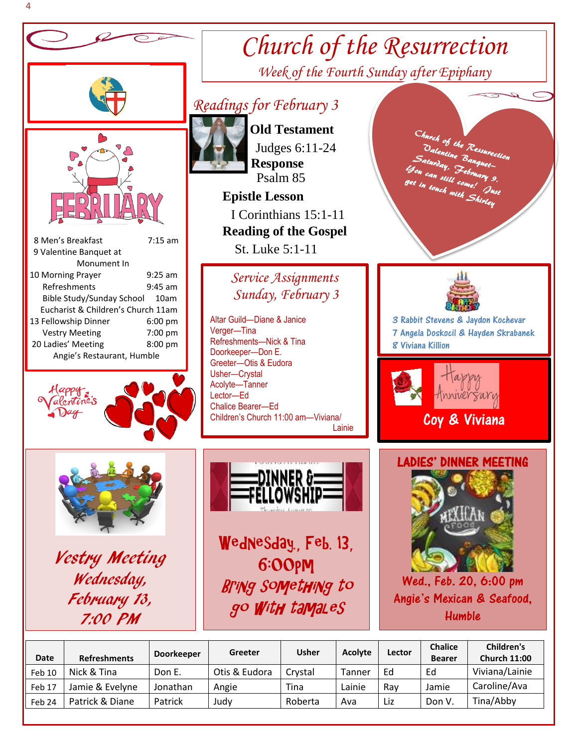

|                 | <b>Doorkeeper</b>   | Greeter       | <b>Usher</b> | Acolyte | Lector | <b>Chalice</b> | Children's          |
|-----------------|---------------------|---------------|--------------|---------|--------|----------------|---------------------|
|                 |                     |               |              |         |        |                | <b>Church 11:00</b> |
| Nick & Tina     | Don E.              | Otis & Eudora | Crystal      | Tanner  | Ed     | Ed             | Viviana/Lainie      |
| Jamie & Evelyne | Jonathan            | Angie         | Tina         | Lainie  | Rav    | Jamie          | Caroline/Ava        |
| Patrick & Diane | Patrick             | Judy          | Roberta      | Ava     | Liz    | Don V.         | Tina/Abby           |
|                 | <b>Refreshments</b> |               |              |         |        |                | <b>Bearer</b>       |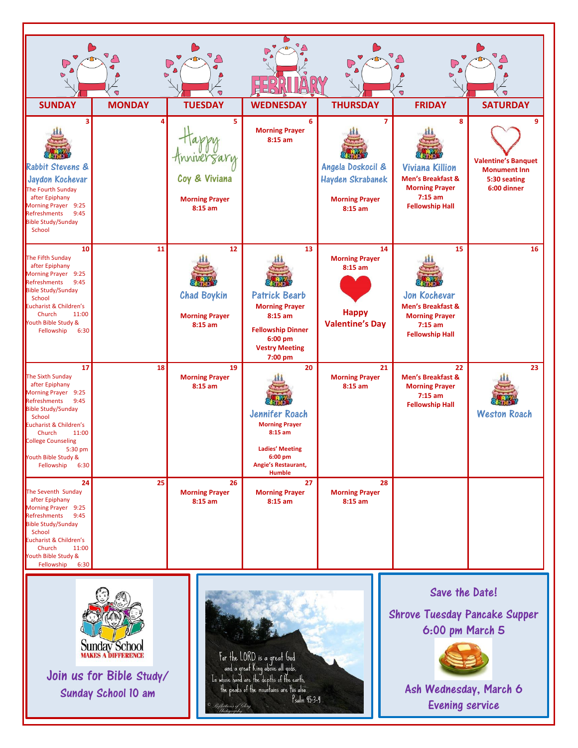| $\cup$<br>$\bullet$                                                                                                                                                                                                                                           | $\bullet$     | UP<br>$\mathbf \Theta$                                                | e.                                                                                                                                             | (م ا<br>$\bullet$                                                                       | ( ہ<br>$\bullet$<br>$\overline{\mathbf{Q}}$                                                                                 | 7<br>7                                                                                |
|---------------------------------------------------------------------------------------------------------------------------------------------------------------------------------------------------------------------------------------------------------------|---------------|-----------------------------------------------------------------------|------------------------------------------------------------------------------------------------------------------------------------------------|-----------------------------------------------------------------------------------------|-----------------------------------------------------------------------------------------------------------------------------|---------------------------------------------------------------------------------------|
| <b>SUNDAY</b>                                                                                                                                                                                                                                                 | <b>MONDAY</b> | <b>TUESDAY</b>                                                        | <b>WEDNESDAY</b>                                                                                                                               | <b>THURSDAY</b>                                                                         | <b>FRIDAY</b>                                                                                                               | <b>SATURDAY</b>                                                                       |
| ٩<br><b>Rabbit Stevens &amp;</b><br>Jaydon Kochevar<br>The Fourth Sunday<br>after Epiphany<br>Morning Prayer 9:25<br>Refreshments 9:45<br><b>Bible Study/Sunday</b><br>School                                                                                 | 4             | 5<br>HnniverSary<br>Coy & Viviana<br><b>Morning Prayer</b><br>8:15 am | 6<br><b>Morning Prayer</b><br>$8:15$ am                                                                                                        | 7<br>Angela Doskocil &<br><b>Hayden Skrabanek</b><br><b>Morning Prayer</b><br>$8:15$ am | 8<br><b>Viviana Killion</b><br><b>Men's Breakfast &amp;</b><br><b>Morning Prayer</b><br>$7:15$ am<br><b>Fellowship Hall</b> | 9<br><b>Valentine's Banquet</b><br><b>Monument Inn</b><br>5:30 seating<br>6:00 dinner |
| 10<br>The Fifth Sunday<br>after Epiphany<br>Morning Prayer 9:25<br>Refreshments 9:45<br><b>Bible Study/Sunday</b><br>School<br>Eucharist & Children's<br>Church<br>11:00<br>Youth Bible Study &<br>Fellowship<br>6:30                                         | 11            | 12<br><b>Chad Boykin</b><br><b>Morning Prayer</b><br>8:15 am          | 13<br><b>Patrick Bearb</b><br><b>Morning Prayer</b><br>8:15 am<br><b>Fellowship Dinner</b><br>$6:00$ pm<br><b>Vestry Meeting</b><br>7:00 pm    | 14<br><b>Morning Prayer</b><br>$8:15$ am<br><b>Happy</b><br><b>Valentine's Day</b>      | 15<br>Jon Kochevar<br><b>Men's Breakfast &amp;</b><br><b>Morning Prayer</b><br>$7:15$ am<br><b>Fellowship Hall</b>          | 16                                                                                    |
| 17<br>The Sixth Sunday<br>after Epiphany<br>Morning Prayer 9:25<br>Refreshments 9:45<br><b>Bible Study/Sunday</b><br>School<br>Eucharist & Children's<br>Church<br>11:00<br><b>College Counseling</b><br>5:30 pm<br>Youth Bible Study &<br>Fellowship<br>6:30 | 18            | 19<br><b>Morning Prayer</b><br>8:15 am                                | 20<br>Jennifer Roach<br><b>Morning Prayer</b><br>$8:15$ am<br><b>Ladies' Meeting</b><br>6:00 pm<br><b>Angie's Restaurant,</b><br><b>Humble</b> | 21<br><b>Morning Prayer</b><br>$8:15$ am                                                | 22<br><b>Men's Breakfast &amp;</b><br><b>Morning Prayer</b><br>$7:15$ am<br><b>Fellowship Hall</b>                          | 23<br><b>Weston Roach</b>                                                             |
| 24<br>The Seventh Sunday<br>after Epiphany<br>Morning Prayer 9:25<br>Refreshments 9:45<br><b>Bible Study/Sunday</b><br>School<br>Eucharist & Children's<br>Church<br>11:00<br>Youth Bible Study &<br>Fellowship 6:30                                          | 25            | 26<br><b>Morning Prayer</b><br>8:15 am                                | 27<br><b>Morning Prayer</b><br>$8:15$ am                                                                                                       | 28<br><b>Morning Prayer</b><br>8:15 am                                                  |                                                                                                                             |                                                                                       |



Join us for Bible Study/ Sunday School 10 am



 Save the Date! Shrove Tuesday Pancake Supper 6:00 pm March 5



Ash Wednesday, March 6 Evening service